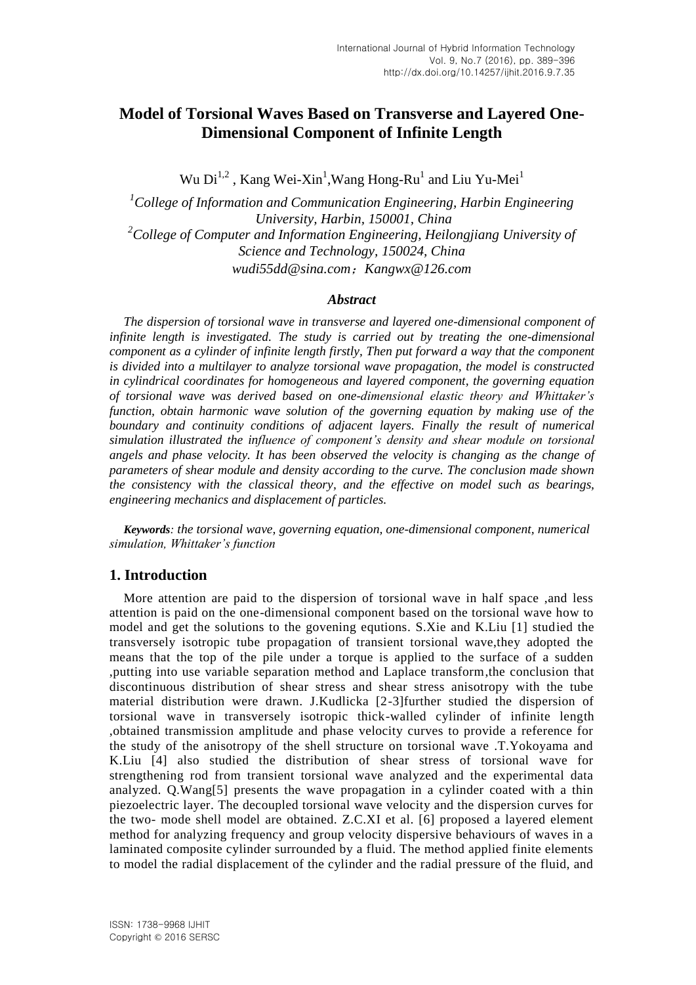# **Model of Torsional Waves Based on Transverse and Layered One-Dimensional Component of Infinite Length**

Wu  $Di^{1,2}$ , Kang Wei-Xin<sup>1</sup>, Wang Hong-Ru<sup>1</sup> and Liu Yu-Mei<sup>1</sup>

*<sup>1</sup>College of Information and Communication Engineering, Harbin Engineering University, Harbin, 150001, China <sup>2</sup>College of Computer and Information Engineering, Heilongjiang University of Science and Technology, 150024, China wudi55dd@sina.com*;*Kangwx@126.com*

#### *Abstract*

*The dispersion of torsional wave in transverse and layered one-dimensional component of infinite length is investigated. The study is carried out by treating the one-dimensional component as a cylinder of infinite length firstly, Then put forward a way that the component is divided into a multilayer to analyze torsional wave propagation, the model is constructed in cylindrical coordinates for homogeneous and layered component, the governing equation of torsional wave was derived based on one-dimensional elastic theory and Whittaker's function, obtain harmonic wave solution of the governing equation by making use of the boundary and continuity conditions of adjacent layers. Finally the result of numerical simulation illustrated the influence of component's density and shear module on torsional angels and phase velocity. It has been observed the velocity is changing as the change of parameters of shear module and density according to the curve. The conclusion made shown the consistency with the classical theory, and the effective on model such as bearings, engineering mechanics and displacement of particles.*

*Keywords: the torsional wave, governing equation, one-dimensional component, numerical simulation, Whittaker's function*

### **1. Introduction**

More attention are paid to the dispersion of torsional wave in half space ,and less attention is paid on the one-dimensional component based on the torsional wave how to model and get the solutions to the govening equtions. S.Xie and K.Liu [1] studied the transversely isotropic tube propagation of transient torsional wave,they adopted the means that the top of the pile under a torque is applied to the surface of a sudden ,putting into use variable separation method and Laplace transform,the conclusion that discontinuous distribution of shear stress and shear stress anisotropy with the tube material distribution were drawn. J.Kudlicka [2-3]further studied the dispersion of torsional wave in transversely isotropic thick-walled cylinder of infinite length ,obtained transmission amplitude and phase velocity curves to provide a reference for the study of the anisotropy of the shell structure on torsional wave .T.Yokoyama and K.Liu [4] also studied the distribution of shear stress of torsional wave for strengthening rod from transient torsional wave analyzed and the experimental data analyzed. Q.Wang[5] presents the wave propagation in a cylinder coated with a thin piezoelectric layer. The decoupled torsional wave velocity and the dispersion curves for the two- mode shell model are obtained. Z.C.XI et al. [6] proposed a layered element method for analyzing frequency and group velocity dispersive behaviours of waves in a laminated composite cylinder surrounded by a fluid. The method applied finite elements to model the radial displacement of the cylinder and the radial pressure of the fluid, and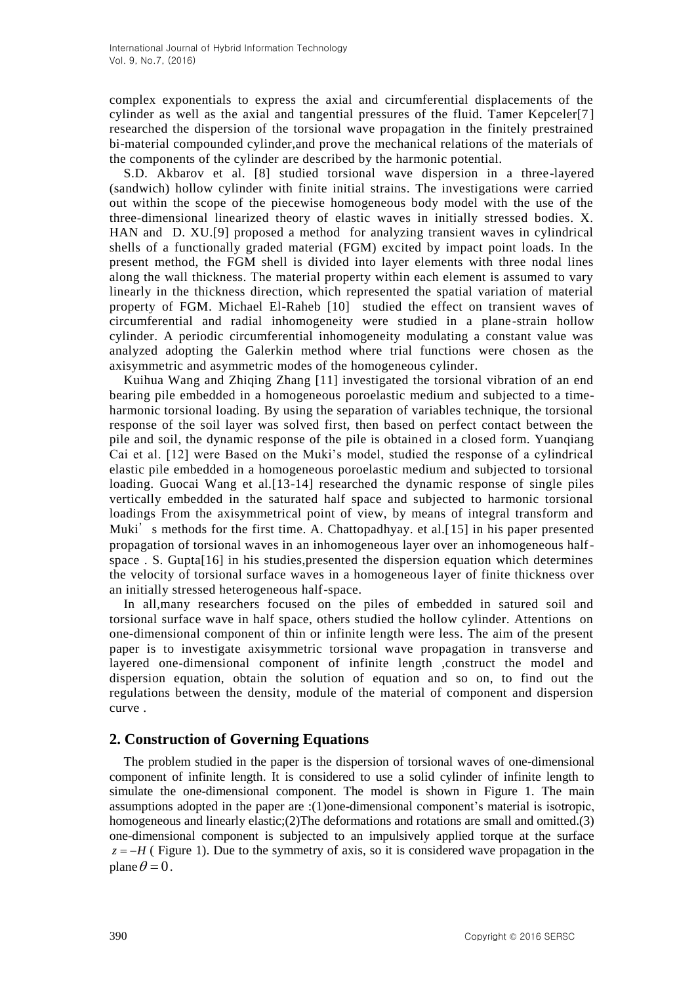complex exponentials to express the axial and circumferential displacements of the cylinder as well as the axial and tangential pressures of the fluid. Tamer Kepceler[7] researched the dispersion of the torsional wave propagation in the finitely prestrained bi-material compounded cylinder,and prove the mechanical relations of the materials of the components of the cylinder are described by the harmonic potential.

S.D. Akbarov et al. [8] studied torsional wave dispersion in a three-layered (sandwich) hollow cylinder with finite initial strains. The investigations were carried out within the scope of the piecewise homogeneous body model with the use of the three-dimensional linearized theory of elastic waves in initially stressed bodies. X. HAN and D. XU.[9] proposed a method for analyzing transient waves in cylindrical shells of a functionally graded material (FGM) excited by impact point loads. In the present method, the FGM shell is divided into layer elements with three nodal lines along the wall thickness. The material property within each element is assumed to vary linearly in the thickness direction, which represented the spatial variation of material property of FGM. Michael El-Raheb [10] studied the effect on transient waves of circumferential and radial inhomogeneity were studied in a plane-strain hollow cylinder. A periodic circumferential inhomogeneity modulating a constant value was analyzed adopting the Galerkin method where trial functions were chosen as the axisymmetric and asymmetric modes of the homogeneous cylinder.

Kuihua Wang and Zhiqing Zhang [11] investigated the torsional vibration of an end bearing pile embedded in a homogeneous poroelastic medium and subjected to a timeharmonic torsional loading. By using the separation of variables technique, the torsional response of the soil layer was solved first, then based on perfect contact between the pile and soil, the dynamic response of the pile is obtained in a closed form. Yuanqiang Cai et al. [12] were Based on the Muki's model, studied the response of a cylindrical elastic pile embedded in a homogeneous poroelastic medium and subjected to torsional loading. Guocai Wang et al.[13-14] researched the dynamic response of single piles vertically embedded in the saturated half space and subjected to harmonic torsional loadings From the axisymmetrical point of view, by means of integral transform and Muki' s methods for the first time. A. Chattopadhyay. et al.[15] in his paper presented propagation of torsional waves in an inhomogeneous layer over an inhomogeneous halfspace . S. Gupta[16] in his studies,presented the dispersion equation which determines the velocity of torsional surface waves in a homogeneous layer of finite thickness over an initially stressed heterogeneous half-space.

In all,many researchers focused on the piles of embedded in satured soil and torsional surface wave in half space, others studied the hollow cylinder. Attentions on one-dimensional component of thin or infinite length were less. The aim of the present paper is to investigate axisymmetric torsional wave propagation in transverse and layered one-dimensional component of infinite length ,construct the model and dispersion equation, obtain the solution of equation and so on, to find out the regulations between the density, module of the material of component and dispersion curve .

# **2. Construction of Governing Equations**

The problem studied in the paper is the dispersion of torsional waves of one-dimensional component of infinite length. It is considered to use a solid cylinder of infinite length to simulate the one-dimensional component. The model is shown in Figure 1. The main assumptions adopted in the paper are :(1)one-dimensional component's material is isotropic, homogeneous and linearly elastic;(2)The deformations and rotations are small and omitted.(3) one-dimensional component is subjected to an impulsively applied torque at the surface  $z = -H$  (Figure 1). Due to the symmetry of axis, so it is considered wave propagation in the plane  $\theta = 0$ .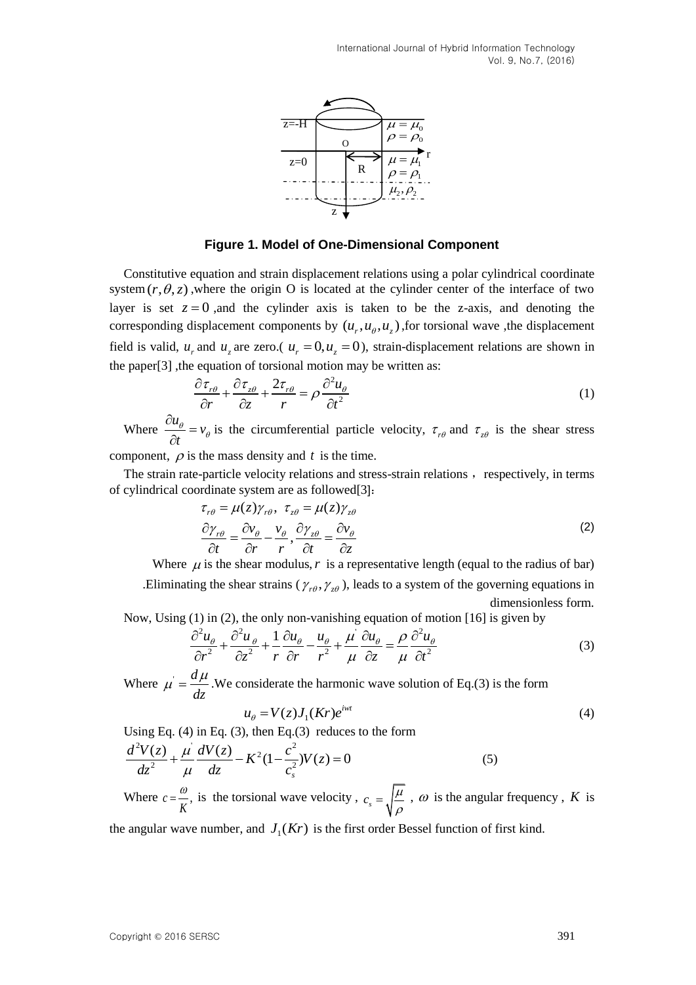

**Figure 1. Model of One-Dimensional Component**

Constitutive equation and strain displacement relations using a polar cylindrical coordinate system  $(r, \theta, z)$ , where the origin O is located at the cylinder center of the interface of two layer is set  $z = 0$ , and the cylinder axis is taken to be the z-axis, and denoting the corresponding displacement components by  $(u_r, u_\theta, u_z)$ , for torsional wave , the displacement field is valid,  $u_r$  and  $u_z$  are zero.(  $u_r = 0, u_z = 0$ ), strain-displacement relations are shown in the paper[3] ,the equation of torsional motion may be written as:<br> $\partial \tau_{r\theta}$   $\partial \tau_{z\theta}$   $2\tau_{r\theta}$   $\partial \tau_{\theta}$ 

$$
\frac{\partial \tau_{r\theta}}{\partial r} + \frac{\partial \tau_{z\theta}}{\partial z} + \frac{2\tau_{r\theta}}{r} = \rho \frac{\partial^2 u_{\theta}}{\partial t^2}
$$
(1)

Where  $\frac{\partial u_{\theta}}{\partial x} = v$ *t*  $\frac{\theta}{\rho} = v_{\theta}$  $\frac{\partial u_{\theta}}{\partial t} =$  $\partial$ is the circumferential particle velocity,  $\tau_{r\theta}$  and  $\tau_{z\theta}$  is the shear stress component,  $\rho$  is the mass density and t is the time.

The strain rate-particle velocity relations and stress-strain relations, respectively, in terms of cylindrical coordinate system are as followed[3].<br> $\tau_{r\theta} = \mu(z) \gamma_{r\theta}, \ \tau_{z\theta} = \mu(z) \gamma_{z\theta}$ 

$$
\tau_{r\theta} = \mu(z)\gamma_{r\theta}, \ \tau_{z\theta} = \mu(z)\gamma_{z\theta}
$$
\n
$$
\frac{\partial \gamma_{r\theta}}{\partial t} = \frac{\partial \nu_{\theta}}{\partial r} - \frac{\nu_{\theta}}{r}, \frac{\partial \gamma_{z\theta}}{\partial t} = \frac{\partial \nu_{\theta}}{\partial z}
$$
\n(2)

Where  $\mu$  is the shear modulus,  $r$  is a representative length (equal to the radius of bar) .Eliminating the shear strains ( $\gamma_{r\theta}$ ,  $\gamma_{z\theta}$ ), leads to a system of the governing equations in dimensionless form.

Now, Using (1) in (2), the only non-vanishing equation of motion [16] is given by  
\n
$$
\frac{\partial^2 u_{\theta}}{\partial r^2} + \frac{\partial^2 u_{\theta}}{\partial z^2} + \frac{1}{r} \frac{\partial u_{\theta}}{\partial r} - \frac{u_{\theta}}{r^2} + \frac{\mu}{\mu} \frac{\partial u_{\theta}}{\partial z} = \frac{\rho}{\mu} \frac{\partial^2 u_{\theta}}{\partial t^2}
$$
\n(3)

Where  $\mu = \frac{d}{dt}$ *dz*  $\mu = \frac{d\mu}{dt}$ . We considerate the harmonic wave solution of Eq.(3) is the form

$$
u_{\theta} = V(z)J_1(Kr)e^{i\omega t}
$$
 (4)

Using Eq. (4) in Eq. (3), then Eq. (3) reduces to the form  
\n
$$
\frac{d^2V(z)}{dz^2} + \frac{\mu}{\mu} \frac{dV(z)}{dz} - K^2 (1 - \frac{c^2}{c_s^2})V(z) = 0
$$
\n(5)

Where  $c = \frac{\omega}{\zeta}$ , *K*  $=\frac{\omega}{\kappa}$ , is the torsional wave velocity,  $c_s = \sqrt{\frac{\mu}{\kappa}}$  $\rho$  $=\sqrt{\frac{\mu}{m}}$ ,  $\omega$  is the angular frequency, K is

the angular wave number, and  $J_1(Kr)$  is the first order Bessel function of first kind.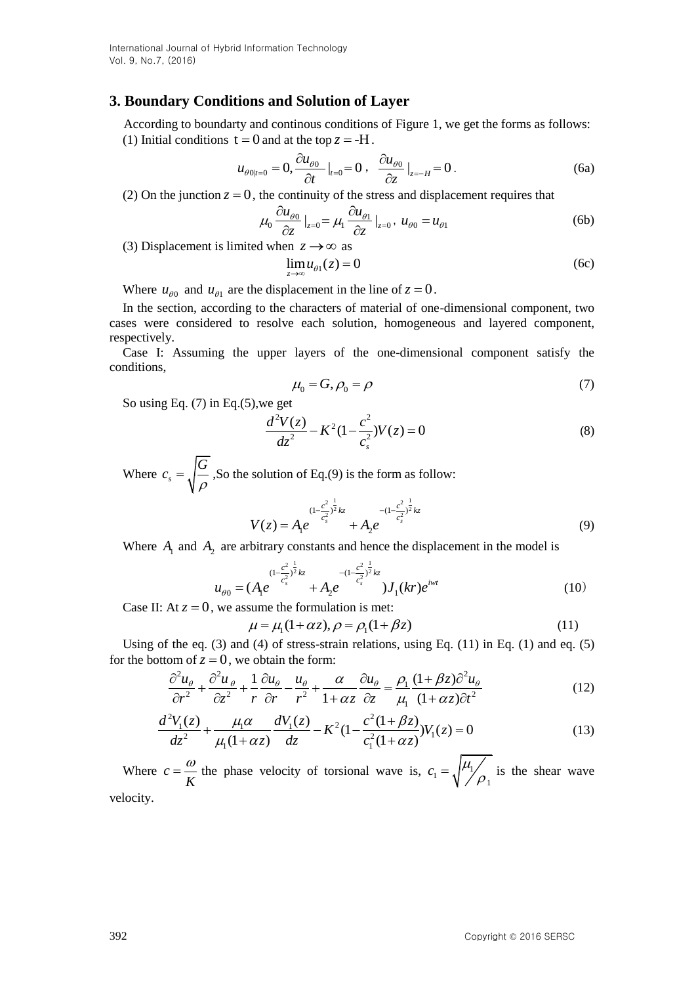## **3. Boundary Conditions and Solution of Layer**

According to boundarty and continous conditions of Figure 1, we get the forms as follows: (1) Initial conditions  $t = 0$  and at the top  $z = -H$ .

$$
u_{\theta 0|t=0} = 0, \frac{\partial u_{\theta 0}}{\partial t}|_{t=0} = 0 , \frac{\partial u_{\theta 0}}{\partial z}|_{z=-H} = 0 .
$$
 (6a)

(2) On the junction  $z = 0$ , the continuity of the stress and displacement requires that

$$
\mu_0 \frac{\partial u_{\theta0}}{\partial z} \Big|_{z=0} = \mu_1 \frac{\partial u_{\theta1}}{\partial z} \Big|_{z=0}, \ u_{\theta0} = u_{\theta1}
$$
 (6b)

(3) Displacement is limited when  $z \rightarrow \infty$  as

$$
\lim_{z \to \infty} u_{\theta} (z) = 0 \tag{6c}
$$

Where  $u_{\theta0}$  and  $u_{\theta1}$  are the displacement in the line of  $z = 0$ .

In the section, according to the characters of material of one-dimensional component, two cases were considered to resolve each solution, homogeneous and layered component, respectively.

Case I: Assuming the upper layers of the one-dimensional component satisfy the conditions,

$$
\mu_0 = G, \rho_0 = \rho \tag{7}
$$

So using Eq. (7) in Eq.(5),we get

$$
\frac{d^2V(z)}{dz^2} - K^2(1 - \frac{c^2}{c_s^2})V(z) = 0
$$
\n(8)

Where  $c_s$  $c_s = \sqrt{\frac{G}{c}}$  $\rho$  $=\sqrt{6}$ , So the solution of Eq.(9) is the form as follow: 2  $\frac{1}{c^2}$   $\frac{1}{c^2}$ 

$$
V(z) = A_1 e^{(1 - \frac{c^2}{c_s^2})^{\frac{1}{2}} kz} + A_2 e^{-(1 - \frac{c^2}{c_s^2})^{\frac{1}{2}} kz}
$$
(9)

Where  $A_1$  and  $A_2$  are arbitrary constants and hence the displacement in the model is

$$
u_{\theta 0} = (A_1 e^{\frac{(1 - c^2)^{\frac{1}{2}}kz}{c_s^2}} + A_2 e^{\frac{-(1 - c^2)^{\frac{1}{2}}kz}{c_s^2}}) J_1(kr) e^{iwt}
$$
(10)

Case II: At 
$$
z = 0
$$
, we assume the formulation is met:  
\n
$$
\mu = \mu_1(1 + \alpha z), \rho = \rho_1(1 + \beta z)
$$
\n(11)

Using of the eq. (3) and (4) of stress-strain relations, using Eq. (11) in Eq. (1) and eq. (5) <br> *i* the bottom of  $z = 0$ , we obtain the form:<br>  $\frac{\partial^2 u_{\theta}}{\partial x^2} + \frac{\partial^2 u_{\theta}}{\partial y^2} + \frac{1}{2} \frac{\partial u_{\theta}}{\partial y^2} - \frac{u_{\theta}}{\partial y^2} + \frac$ 

for the bottom of 
$$
z = 0
$$
, we obtain the form:  
\n
$$
\frac{\partial^2 u_{\theta}}{\partial r^2} + \frac{\partial^2 u_{\theta}}{\partial z^2} + \frac{1}{r} \frac{\partial u_{\theta}}{\partial r} - \frac{u_{\theta}}{r^2} + \frac{\alpha}{1 + \alpha z} \frac{\partial u_{\theta}}{\partial z} = \frac{\rho_1}{\mu_1} \frac{(1 + \beta z)\partial^2 u_{\theta}}{(1 + \alpha z)\partial t^2}
$$
\n
$$
\frac{d^2 V_1(z)}{dz^2} + \frac{\mu_1 \alpha}{\mu_1 \alpha} \frac{dV_1(z)}{dz^2} - K^2 (1 - \frac{c^2 (1 + \beta z)}{dz^2}) V_1(z) = 0
$$
\n(13)

$$
\frac{\partial^2 u_{\theta}}{\partial r^2} + \frac{\partial^2 u_{\theta}}{\partial z^2} + \frac{1}{r} \frac{\partial u_{\theta}}{\partial r} - \frac{u_{\theta}}{r^2} + \frac{\partial^2 u_{\theta}}{1 + \alpha z \partial z} = \frac{\partial u_{\theta}}{\partial z} = \frac{\mu_1}{\mu_1} \frac{(1 + \mu z) \partial u_{\theta}}{(1 + \alpha z) \partial t^2}
$$
(12)  

$$
\frac{d^2 V_1(z)}{dz^2} + \frac{\mu_1 \alpha}{\mu_1 (1 + \alpha z)} \frac{dV_1(z)}{dz} - K^2 (1 - \frac{c^2 (1 + \beta z)}{c_1^2 (1 + \alpha z)}) V_1(z) = 0
$$
(13)

Where *c K*  $t = \frac{\omega}{K}$  the phase velocity of torsional wave is,  $c_1 = \sqrt{\frac{\mu_1}{\rho_1}}$  $c_1 = \sqrt{\frac{\mu_1}{\mu_2}}$  $=\sqrt{\frac{\mu_1}{\rho_1}}$  is the shear wave velocity.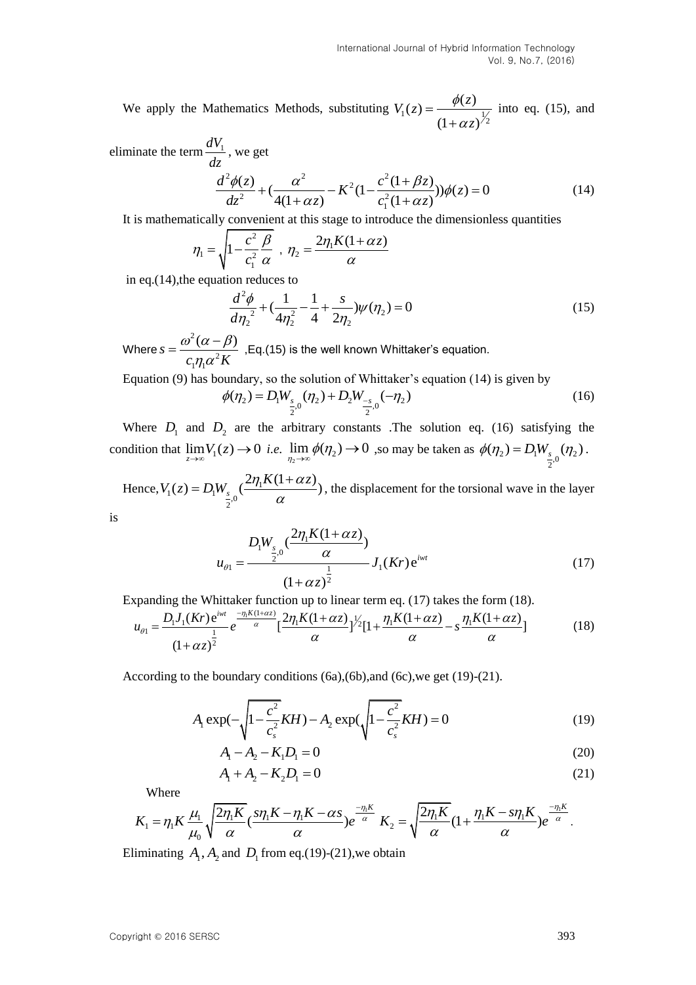We apply the Mathematics Methods, substituting  $V_1(z) = \frac{\phi(z)}{(1 + \alpha z)^{\frac{1}{2}}}$  $(1 + \alpha z)$  $V_1(z) = \frac{\phi(z)}{z}$ *z*  $\phi$  $\alpha$  $=$  $^{+}$ into eq. (15), and

eliminate the term  $\frac{dV_1}{dt}$ *dz* , we get

$$
\frac{d^2\phi(z)}{dz^2} + \frac{\alpha^2}{4(1+\alpha z)} - K^2(1 - \frac{c^2(1+\beta z)}{c_1^2(1+\alpha z)}))\phi(z) = 0
$$
\n(14)

It is mathematically convenient at this stage to introduce the dimensionless quantities

$$
\eta_1 = \sqrt{1 - \frac{c^2}{c_1^2} \frac{\beta}{\alpha}} \, , \eta_2 = \frac{2\eta_1 K (1 + \alpha z)}{\alpha}
$$

in eq.(14), the equation reduces to  
\n
$$
\frac{d^2 \phi}{d\eta_2^2} + (\frac{1}{4\eta_2^2} - \frac{1}{4} + \frac{s}{2\eta_2})\psi(\eta_2) = 0
$$
\n(15)

Where 2 2  $1'1_1$  $s = \frac{\omega^2(\alpha - \beta)}{2\pi}$  $c_1 \eta_1 \alpha^2 K$  $\omega^2(\alpha-\beta)$  $\eta_1\alpha^2$  $=\frac{\omega^2(\alpha-\beta)}{2\alpha^2}$  ,Eq.(15) is the well known Whittaker's equation.

Equation (9) has boundary, so the solution of Whittaker's equation (14) is given by  
\n
$$
\phi(\eta_2) = D_1 W_{\frac{s}{2},0}(\eta_2) + D_2 W_{-\frac{s}{2},0}(-\eta_2)
$$
\n(16)

Where  $D_1$  and  $D_2$  are the arbitrary constants .The solution eq. (16) satisfying the condition that  $\lim_{z \to \infty} V_1(z) \to 0$  *i.e.*  $\lim_{\eta_2 \to \infty} \phi(\eta_2) \to 0$  , so may be taken as  $\phi(\eta_2) = D_1 W_{\frac{s}{2},0}(\eta_2)$  $\phi(\eta_2) = D_1 W_{s_0}(\eta_2)$ .

Hence,  $V_1(z) = D_1 W_{\frac{s}{2},0}(\frac{2H_1}{z})$  $V_1(z) = D_1 W_{S,0} \left( \frac{2 \eta_1 K (1 + \alpha z)}{\alpha} \right)$  $= D_1 W$ ,  $( \frac{2 \eta_1 K (1 + \alpha z)}{2})$ , the displacement for the torsional wave in the layer

is

$$
u_{\theta 1} = \frac{D_1 W_{\frac{s}{2},0}(\frac{2\eta_1 K(1+\alpha z)}{\alpha})}{(1+\alpha z)^{\frac{1}{2}}} J_1(Kr) e^{i\omega t}
$$
 (17)

Expanding the Whittaker function up to linear term eq. (17) takes the form (18). func<br> $\frac{(1 + \alpha z)}{2}$ 

$$
(1+\alpha z)^{\frac{1}{2}}
$$
  
xponding the Whittaker function up to linear term eq. (17) takes the form (18).  

$$
u_{\theta 1} = \frac{D_1 J_1(Kr) e^{i\omega t}}{(1+\alpha z)^{\frac{1}{2}}} e^{\frac{-\eta_1 K(1+\alpha z)}{\alpha}} \left[\frac{2\eta_1 K(1+\alpha z)}{\alpha}\right]^{\frac{1}{2}} \left[1 + \frac{\eta_1 K(1+\alpha z)}{\alpha} - s\frac{\eta_1 K(1+\alpha z)}{\alpha}\right]
$$
(18)

According to the boundary conditions (6a),(6b),and (6c),we get (19)-(21).

$$
A_1 \exp(-\sqrt{1 - \frac{c^2}{c_s^2}}KH) - A_2 \exp(\sqrt{1 - \frac{c^2}{c_s^2}}KH) = 0
$$
 (19)

$$
A_1 - A_2 - K_1 D_1 = 0 \tag{20}
$$

$$
A_1 + A_2 - K_2 D_1 = 0 \tag{21}
$$

Where

Where  
\n
$$
K_1 = \eta_1 K \frac{\mu_1}{\mu_0} \sqrt{\frac{2\eta_1 K}{\alpha}} (\frac{s\eta_1 K - \eta_1 K - \alpha s}{\alpha}) e^{-\frac{\eta_1 K}{\alpha}} K_2 = \sqrt{\frac{2\eta_1 K}{\alpha}} (1 + \frac{\eta_1 K - s\eta_1 K}{\alpha}) e^{-\frac{\eta_1 K}{\alpha}}.
$$

Eliminating  $A_1$ ,  $A_2$  and  $D_1$  from eq.(19)-(21), we obtain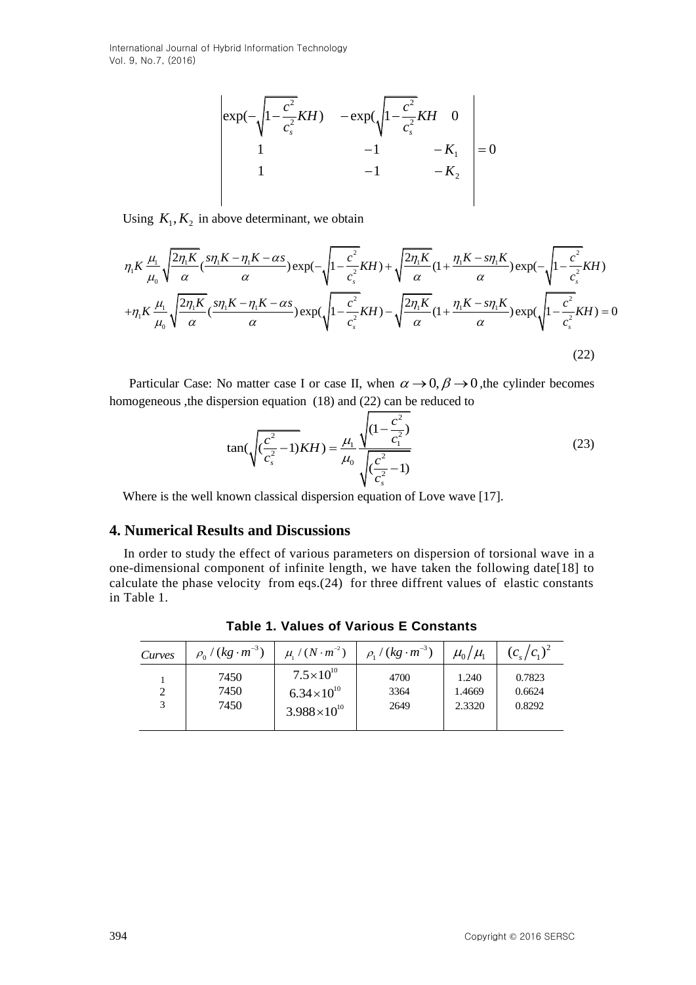International Journal of Hybrid Information Technology Vol. 9, No.7, (2016)

$$
\begin{vmatrix} \exp(-\sqrt{1-\frac{c^2}{c_s^2}}KH) & -\exp(\sqrt{1-\frac{c^2}{c_s^2}}KH & 0\\ 1 & -1 & -K_1\\ 1 & -1 & -K_2 \end{vmatrix} = 0
$$

Using  $K_1, K_2$  in above determinant, we obtain

Using 
$$
K_1, K_2
$$
 in above determinant, we obtain  
\n
$$
\eta_1 K \frac{\mu_1}{\mu_0} \sqrt{\frac{2\eta_1 K}{\alpha}} \left( \frac{s\eta_1 K - \eta_1 K - \alpha s}{\alpha} \right) \exp\left(-\sqrt{1 - \frac{c^2}{c_s^2}} K H\right) + \sqrt{\frac{2\eta_1 K}{\alpha}} \left(1 + \frac{\eta_1 K - s\eta_1 K}{\alpha}\right) \exp\left(-\sqrt{1 - \frac{c^2}{c_s^2}} K H\right)
$$
\n
$$
+ \eta_1 K \frac{\mu_1}{\mu_0} \sqrt{\frac{2\eta_1 K}{\alpha}} \left( \frac{s\eta_1 K - \eta_1 K - \alpha s}{\alpha} \right) \exp\left(\sqrt{1 - \frac{c^2}{c_s^2}} K H\right) - \sqrt{\frac{2\eta_1 K}{\alpha}} \left(1 + \frac{\eta_1 K - s\eta_1 K}{\alpha}\right) \exp\left(\sqrt{1 - \frac{c^2}{c_s^2}} K H\right) = 0
$$
\n(22)

Particular Case: No matter case I or case II, when  $\alpha \rightarrow 0, \beta \rightarrow 0$ , the cylinder becomes homogeneous ,the dispersion equation (18) and (22) can be reduced to

$$
\tan(\sqrt{\frac{c_{s}^{2}}{c_{s}^{2}}-1)KH}) = \frac{\mu_{1}}{\mu_{0}} \frac{\sqrt{(1-\frac{c^{2}}{c_{1}^{2}})}}{\sqrt{\frac{c_{s}^{2}}{c_{s}^{2}}-1}} \tag{23}
$$

Where is the well known classical dispersion equation of Love wave [17].

### **4. Numerical Results and Discussions**

In order to study the effect of various parameters on dispersion of torsional wave in a one-dimensional component of infinite length, we have taken the following date[18] to calculate the phase velocity from eqs.(24) for three diffrent values of elastic constants in Table 1.

| Curves | $\rho_0^2/(kg \cdot m^{-3})$ | $\mu_{1}/(N \cdot m^{-2})$ | $\rho_1/(kg \cdot m^{-3})$ | $\mu_0/\mu_1$ | $(c_{s}/c_{1})^{2}$ |
|--------|------------------------------|----------------------------|----------------------------|---------------|---------------------|
| 3      | 7450                         | $7.5 \times 10^{10}$       | 4700                       | 1.240         | 0.7823              |
|        | 7450                         | $6.34\times10^{10}$        | 3364                       | 1.4669        | 0.6624              |
|        | 7450                         | $3.988\times10^{10}$       | 2649                       | 2.3320        | 0.8292              |

**Table 1. Values of Various E Constants**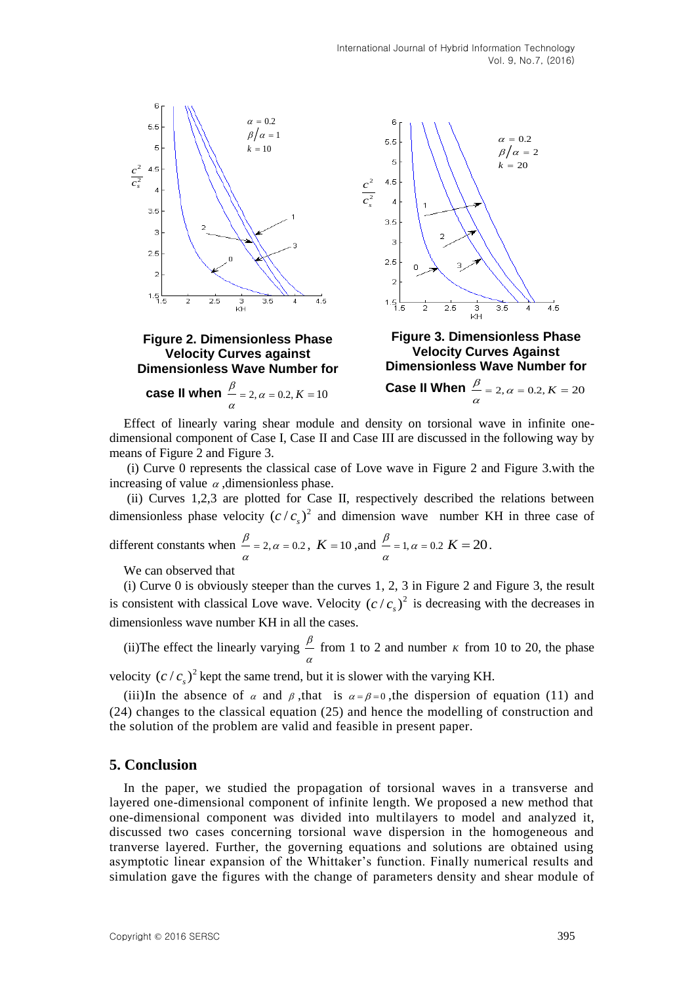

Effect of linearly varing shear module and density on torsional wave in infinite onedimensional component of Case I, Case II and Case III are discussed in the following way by means of Figure 2 and Figure 3.

(i) Curve 0 represents the classical case of Love wave in Figure 2 and Figure 3.with the increasing of value  $\alpha$ , dimensionless phase.

(ii) Curves 1,2,3 are plotted for Case II, respectively described the relations between dimensionless phase velocity  $(c / c_s)^2$  and dimension wave number KH in three case of

different constants when 
$$
\frac{\beta}{\alpha} = 2
$$
,  $\alpha = 0.2$ ,  $K = 10$ , and  $\frac{\beta}{\alpha} = 1$ ,  $\alpha = 0.2$ ,  $K = 20$ .

We can observed that

(i) Curve 0 is obviously steeper than the curves 1, 2, 3 in Figure 2 and Figure 3, the result is consistent with classical Love wave. Velocity  $(c/c<sub>s</sub>)<sup>2</sup>$  is decreasing with the decreases in dimensionless wave number KH in all the cases.

(ii)The effect the linearly varying  $\frac{\beta}{\alpha}$  $\frac{\mu}{\alpha}$  from 1 to 2 and number  $\kappa$  from 10 to 20, the phase

velocity  $(c/c<sub>s</sub>)<sup>2</sup>$  kept the same trend, but it is slower with the varying KH.

(iii)In the absence of  $\alpha$  and  $\beta$ , that is  $\alpha = \beta = 0$ , the dispersion of equation (11) and  $(24)$  changes to the classical equation  $(25)$  and hence the modelling of construction and the solution of the problem are valid and feasible in present paper.

### **5. Conclusion**

In the paper, we studied the propagation of torsional waves in a transverse and layered one-dimensional component of infinite length. We proposed a new method that one-dimensional component was divided into multilayers to model and analyzed it, discussed two cases concerning torsional wave dispersion in the homogeneous and tranverse layered. Further, the governing equations and solutions are obtained using asymptotic linear expansion of the Whittaker's function. Finally numerical results and simulation gave the figures with the change of parameters density and shear module of